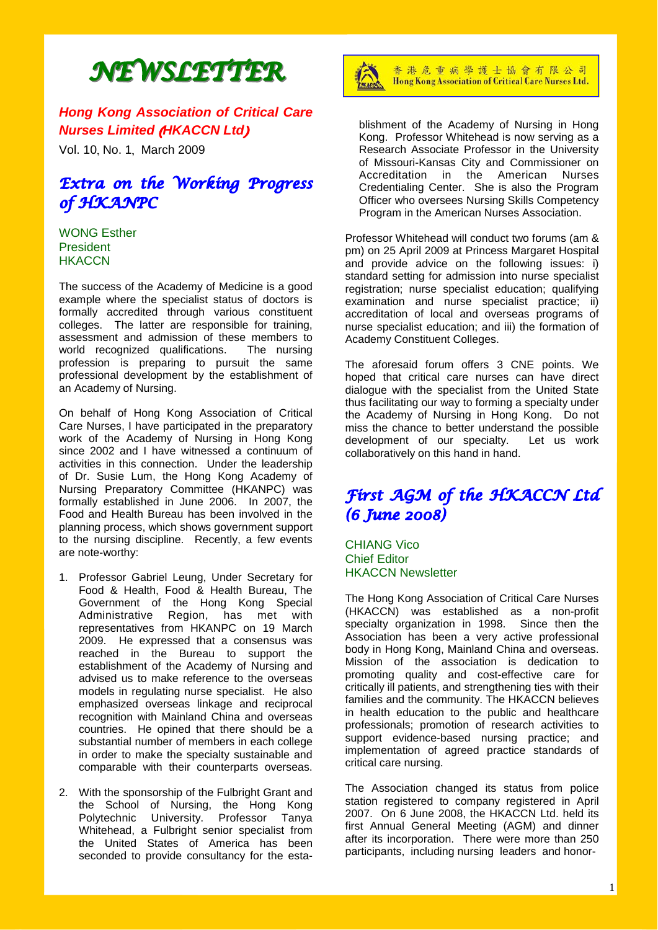# *NEWSLETTER NEWSLETTER*

*Hong Kong Association of Critical Care Nurses Limited* (*HKACCN Ltd*)

Vol. 10, No. 1, March 2009

# *Extra on the Working Progress of HKANPC*

### WONG Esther President **HKACCN**

The success of the Academy of Medicine is a good example where the specialist status of doctors is formally accredited through various constituent colleges. The latter are responsible for training, assessment and admission of these members to world recognized qualifications. The nursing profession is preparing to pursuit the same professional development by the establishment of an Academy of Nursing.

On behalf of Hong Kong Association of Critical Care Nurses, I have participated in the preparatory work of the Academy of Nursing in Hong Kong since 2002 and I have witnessed a continuum of activities in this connection. Under the leadership of Dr. Susie Lum, the Hong Kong Academy of Nursing Preparatory Committee (HKANPC) was formally established in June 2006. In 2007, the Food and Health Bureau has been involved in the planning process, which shows government support to the nursing discipline. Recently, a few events are note-worthy:

- 1. Professor Gabriel Leung, Under Secretary for Food & Health, Food & Health Bureau, The Government of the Hong Kong Special Administrative Region, has met with representatives from HKANPC on 19 March 2009. He expressed that a consensus was reached in the Bureau to support the establishment of the Academy of Nursing and advised us to make reference to the overseas models in regulating nurse specialist. He also emphasized overseas linkage and reciprocal recognition with Mainland China and overseas countries. He opined that there should be a substantial number of members in each college in order to make the specialty sustainable and comparable with their counterparts overseas.
- 2. With the sponsorship of the Fulbright Grant and the School of Nursing, the Hong Kong Polytechnic University. Professor Tanya Whitehead, a Fulbright senior specialist from the United States of America has been seconded to provide consultancy for the esta-



香港危重病學護士協會有限公司 Hong Kong Association of Critical Care Nurses Ltd.

blishment of the Academy of Nursing in Hong Kong. Professor Whitehead is now serving as a Research Associate Professor in the University of Missouri-Kansas City and Commissioner on Accreditation in the American Nurses Credentialing Center. She is also the Program Officer who oversees Nursing Skills Competency Program in the American Nurses Association.

Professor Whitehead will conduct two forums (am & pm) on 25 April 2009 at Princess Margaret Hospital and provide advice on the following issues: i) standard setting for admission into nurse specialist registration; nurse specialist education; qualifying examination and nurse specialist practice; ii) accreditation of local and overseas programs of nurse specialist education; and iii) the formation of Academy Constituent Colleges.

The aforesaid forum offers 3 CNE points. We hoped that critical care nurses can have direct dialogue with the specialist from the United State thus facilitating our way to forming a specialty under the Academy of Nursing in Hong Kong. Do not miss the chance to better understand the possible development of our specialty. Let us work collaboratively on this hand in hand.

# *First AGM of the HKACCN Ltd (6 June 2008)*

CHIANG Vico Chief Editor HKACCN Newsletter

The Hong Kong Association of Critical Care Nurses (HKACCN) was established as a non-profit specialty organization in 1998. Since then the Association has been a very active professional body in Hong Kong, Mainland China and overseas. Mission of the association is dedication to promoting quality and cost-effective care for critically ill patients, and strengthening ties with their families and the community. The HKACCN believes in health education to the public and healthcare professionals; promotion of research activities to support evidence-based nursing practice; and implementation of agreed practice standards of critical care nursing.

The Association changed its status from police station registered to company registered in April 2007. On 6 June 2008, the HKACCN Ltd. held its first Annual General Meeting (AGM) and dinner after its incorporation. There were more than 250 participants, including nursing leaders and honor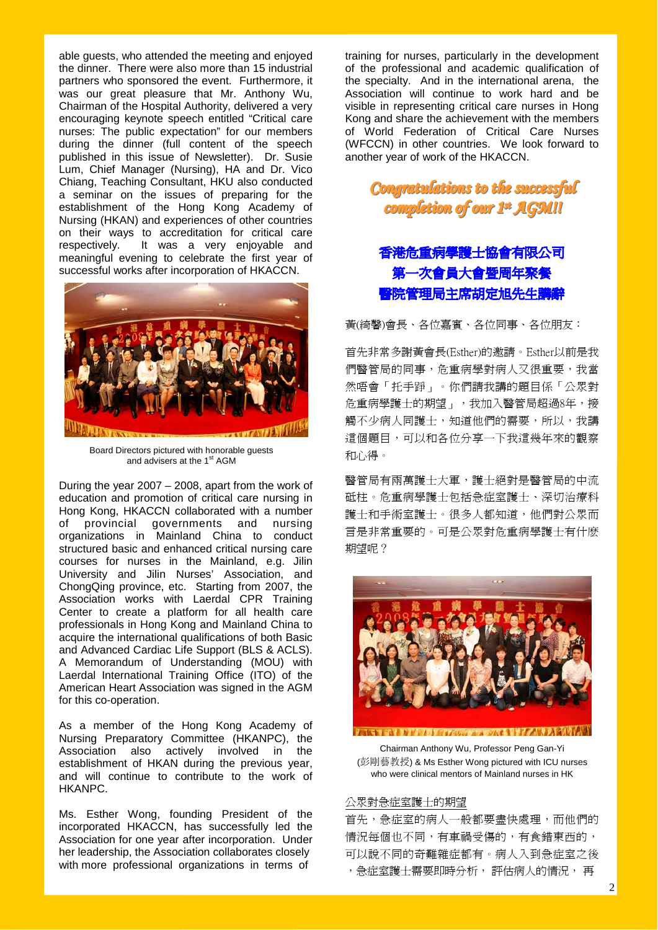able guests, who attended the meeting and enjoyed the dinner. There were also more than 15 industrial partners who sponsored the event. Furthermore, it was our great pleasure that Mr. Anthony Wu, Chairman of the Hospital Authority, delivered a very encouraging keynote speech entitled "Critical care nurses: The public expectation" for our members during the dinner (full content of the speech published in this issue of Newsletter). Dr. Susie Lum, Chief Manager (Nursing), HA and Dr. Vico Chiang, Teaching Consultant, HKU also conducted a seminar on the issues of preparing for the establishment of the Hong Kong Academy of Nursing (HKAN) and experiences of other countries on their ways to accreditation for critical care respectively. It was a very enjoyable and meaningful evening to celebrate the first year of successful works after incorporation of HKACCN.



Board Directors pictured with honorable guests and advisers at the 1<sup>st</sup> AGM

During the year 2007 – 2008, apart from the work of education and promotion of critical care nursing in Hong Kong, HKACCN collaborated with a number of provincial governments and nursing organizations in Mainland China to conduct structured basic and enhanced critical nursing care courses for nurses in the Mainland, e.g. Jilin University and Jilin Nurses' Association, and ChongQing province, etc. Starting from 2007, the Association works with Laerdal CPR Training Center to create a platform for all health care professionals in Hong Kong and Mainland China to acquire the international qualifications of both Basic and Advanced Cardiac Life Support (BLS & ACLS). A Memorandum of Understanding (MOU) with Laerdal International Training Office (ITO) of the American Heart Association was signed in the AGM for this co-operation.

As a member of the Hong Kong Academy of Nursing Preparatory Committee (HKANPC), the Association also actively involved in the establishment of HKAN during the previous year, and will continue to contribute to the work of HKANPC.

Ms. Esther Wong, founding President of the incorporated HKACCN, has successfully led the Association for one year after incorporation. Under her leadership, the Association collaborates closely with more professional organizations in terms of

training for nurses, particularly in the development of the professional and academic qualification of the specialty. And in the international arena, the Association will continue to work hard and be visible in representing critical care nurses in Hong Kong and share the achievement with the members of World Federation of Critical Care Nurses (WFCCN) in other countries. We look forward to another year of work of the HKACCN.

# *Congratulations to the successful Congratulations the successful completion of our 1 completion of our 1stst AGM!!*

# 香港危重病學護士協會有限公司 第一次會員大會暨周年聚餐 醫院管理局主席胡定旭先生講辭

黃(綺馨)會長、各位嘉賓、各位同事、各位朋友:

首先非常多謝黃會長(Esther)的邀請。Esther以前是我 們醫管局的同事,危重病學對病人又很重要,我當 然唔會「托手踭」。你們請我講的題目係「公眾對 危重病學護士的期望」,我加入醫管局超過8年,接 觸不少病人同護士,知道他們的需要,所以,我講 這個題目,可以和各位分享一下我這幾年來的觀察 和心得。

醫管局有兩萬護士大軍,護士絕對是醫管局的中流 砥柱。危重病學護士包括急症室護士、深切治療科 護士和手術室護士。很多人都知道,他們對公眾而 言是非常重要的。可是公眾對危重病學護士有什麽 期望呢?



**STETT MELLETOWN TRACTERATION** 

Chairman Anthony Wu, Professor Peng Gan-Yi (彭剛藝教授) & Ms Esther Wong pictured with ICU nurses who were clinical mentors of Mainland nurses in HK

### 公眾對急症室護士的期望

首先,急症室的病人一般都要盡快處理,而他們的 情況每個也不同,有車禍受傷的,有食錯東西的, 可以說不同的奇難雜症都有。病人入到急症室之後 ,急症室護士需要即時分析, 評估病人的情況, 再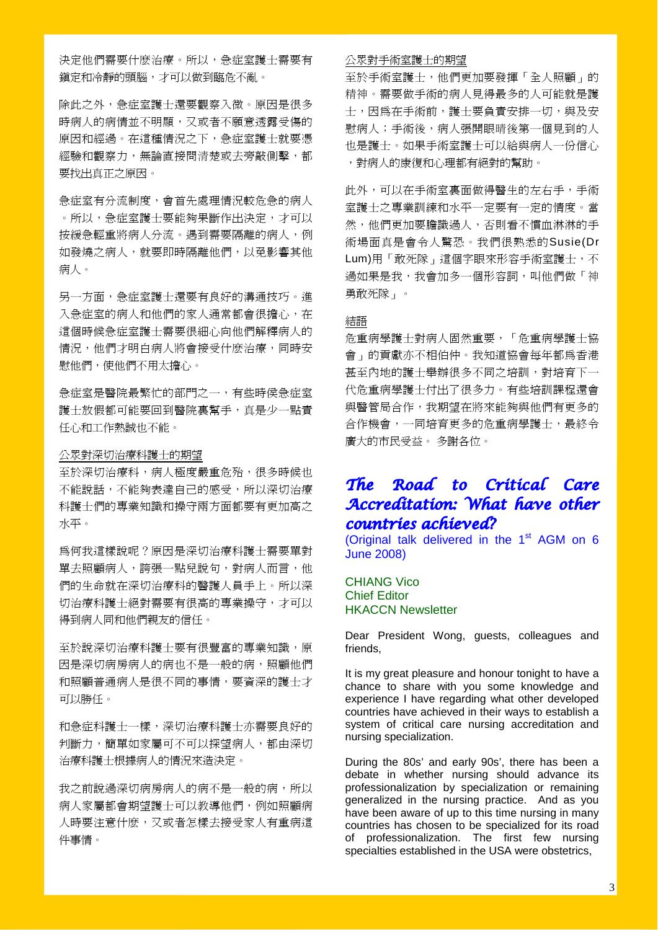決定他們需要什麽治療。所以,急症室護士需要有 鎮定和冷靜的頭腦,才可以做到臨危不亂。

除此之外,急症室護士還要觀察入微。原因是很多 時病人的病情並不明顯,又或者不願意透露受傷的 原因和經過。在這種情況之下,急症室護士就要憑 經驗和觀察力,無論直接問清楚或去旁敲側擊,都 要找出真正之原因。

急症室有分流制度,會首先處理情況較危急的病人 。所以,急症室護士要能夠果斷作出決定,才可以 按緩急輕重將病人分流。遇到需要隔離的病人,例 如發燒之病人,就要即時隔離他們,以免影響其他 病人。

另一方面,急症室護士還要有良好的溝通技巧。進 入急症室的病人和他們的家人通常都會很擔心,在 這個時候急症室護士需要很細心向他們解釋病人的 情況,他們才明白病人將會接受什麽治療,同時安 慰他們,使他們不用太擔心。

急症室是醫院最繁忙的部門之一,有些時侯急症室 護士放假都可能要回到醫院裏幫手,真是少一點責 任心和工作熱誠也不能。

### 公眾對深切治療科護士的期望

至於深切治療科,病人極度嚴重危殆,很多時候也 不能說話,不能夠表達自己的感受,所以深切治療 科護士們的專業知識和操守兩方面都要有更加高之 水平。

為何我這樣說呢?原因是深切治療科護士需要單對 單去照顧病人,誇張一點兒說句,對病人而言,他 們的生命就在深切治療科的醫護人員手上。所以深 切治療科護士絕對需要有很高的專業操守,才可以 得到病人同和他們親友的信任。

至於說深切治療科護士要有很豐富的專業知識,原 因是深切病房病人的病也不是一般的病,照顧他們 和照顧普通病人是很不同的事情,要資深的護士才 可以勝任。

和急症科護士一樣,深切治療科護士亦需要良好的 判斷力,簡單如家屬可不可以探望病人,都由深切 治療科護士根據病人的情況來造決定。

我之前說過深切病房病人的病不是一般的病,所以 病人家屬都會期望護士可以教導他們,例如照顧病 人時要注意什麽,又或者怎樣去接受家人有重病這 件事情。

### 公眾對手術室護士的期望

至於手術室護士,他們更加要發揮「全人照顧」的 精神。需要做手術的病人見得最多的人可能就是護 士,因為在手術前,護士要負責安排一切,與及安 慰病人;手術後,病人張開眼晴後第一個見到的人 也是護士。如果手術室護士可以給與病人一份信心 ,對病人的康復和心理都有絕對的幫助。

此外,可以在手術室裏面做得醫生的左右手,手術 室護士之專業訓練和水平一定要有一定的情度。當 然,他們更加要膽識過人,否則看不慣血淋淋的手 術場面真是會令人驚恐。我們很熟悉的Susie(Dr Lum)用「敢死隊」這個字眼來形容手術室護士,不 過如果是我,我會加多一個形容詞,叫他們做「神 勇敢死隊」。

### 結語

危重病學護士對病人固然重要,「危重病學護士協 會」的貢獻亦不相伯仲。我知道協會每年都為香港 甚至內地的護士舉辦很多不同之培訓,對培育下一 代危重病學護士付出了很多力。有些培訓課程還會 與醫管局合作,我期望在將來能夠與他們有更多的 合作機會,一同培育更多的危重病學護士,最終令 廣大的市民受益。 多謝各位。

## *The Road to Critical Care Accreditation: What have other countries achieved?*

(Original talk delivered in the 1<sup>st</sup> AGM on 6 June 2008)

CHIANG Vico Chief Editor HKACCN Newsletter

Dear President Wong, guests, colleagues and friends,

It is my great pleasure and honour tonight to have a chance to share with you some knowledge and experience I have regarding what other developed countries have achieved in their ways to establish a system of critical care nursing accreditation and nursing specialization.

During the 80s' and early 90s', there has been a debate in whether nursing should advance its professionalization by specialization or remaining generalized in the nursing practice. And as you have been aware of up to this time nursing in many countries has chosen to be specialized for its road of professionalization. The first few nursing specialties established in the USA were obstetrics,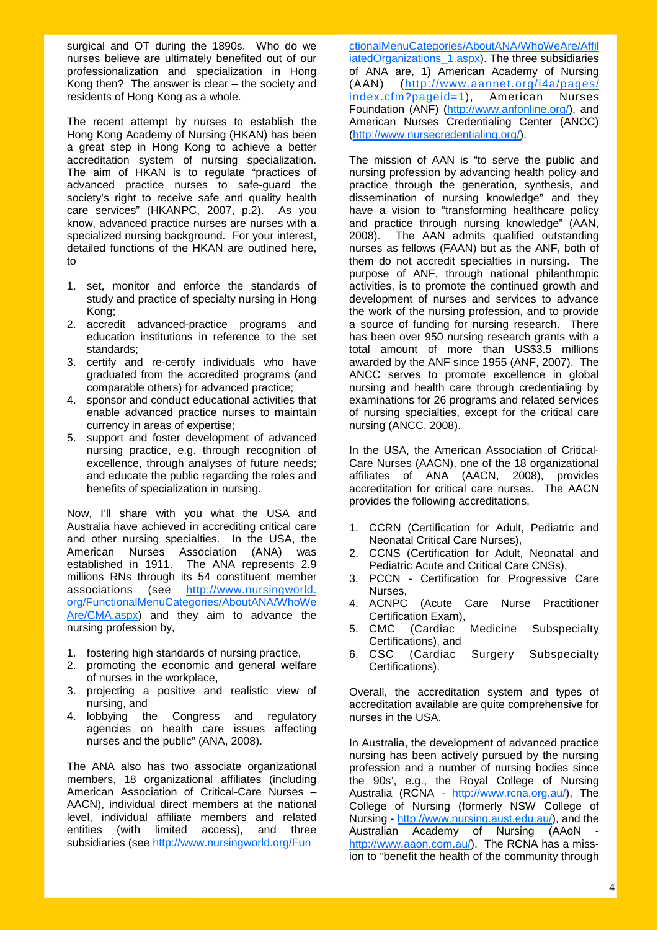surgical and OT during the 1890s. Who do we nurses believe are ultimately benefited out of our professionalization and specialization in Hong Kong then? The answer is clear – the society and residents of Hong Kong as a whole.

The recent attempt by nurses to establish the Hong Kong Academy of Nursing (HKAN) has been a great step in Hong Kong to achieve a better accreditation system of nursing specialization. The aim of HKAN is to regulate "practices of advanced practice nurses to safe-guard the society's right to receive safe and quality health care services" (HKANPC, 2007, p.2). As you know, advanced practice nurses are nurses with a specialized nursing background. For your interest, detailed functions of the HKAN are outlined here, to

- 1. set, monitor and enforce the standards of study and practice of specialty nursing in Hong Kong;
- 2. accredit advanced-practice programs and education institutions in reference to the set standards;
- 3. certify and re-certify individuals who have graduated from the accredited programs (and comparable others) for advanced practice;
- 4. sponsor and conduct educational activities that enable advanced practice nurses to maintain currency in areas of expertise;
- 5. support and foster development of advanced nursing practice, e.g. through recognition of excellence, through analyses of future needs; and educate the public regarding the roles and benefits of specialization in nursing.

Now, I'll share with you what the USA and Australia have achieved in accrediting critical care and other nursing specialties. In the USA, the American Nurses Association (ANA) was established in 1911. The ANA represents 2.9 millions RNs through its 54 constituent member associations (see http://www.nursingworld. org/FunctionalMenuCategories/AboutANA/WhoWe Are/CMA.aspx) and they aim to advance the nursing profession by,

- 1. fostering high standards of nursing practice,
- 2. promoting the economic and general welfare of nurses in the workplace,
- 3. projecting a positive and realistic view of nursing, and
- 4. lobbying the Congress and regulatory agencies on health care issues affecting nurses and the public" (ANA, 2008).

The ANA also has two associate organizational members, 18 organizational affiliates (including American Association of Critical-Care Nurses – AACN), individual direct members at the national level, individual affiliate members and related entities (with limited access), and three subsidiaries (see http://www.nursingworld.org/Fun

ctionalMenuCategories/AboutANA/WhoWeAre/Affil iatedOrganizations 1.aspx). The three subsidiaries of ANA are, 1) American Academy of Nursing (AAN) (http://www.aannet.org/i4a/pages/ index.cfm?pageid=1), American Nurses Foundation (ANF) (http://www.anfonline.org/), and American Nurses Credentialing Center (ANCC) (http://www.nursecredentialing.org/).

The mission of AAN is "to serve the public and nursing profession by advancing health policy and practice through the generation, synthesis, and dissemination of nursing knowledge" and they have a vision to "transforming healthcare policy and practice through nursing knowledge" (AAN, 2008). The AAN admits qualified outstanding nurses as fellows (FAAN) but as the ANF, both of them do not accredit specialties in nursing. The purpose of ANF, through national philanthropic activities, is to promote the continued growth and development of nurses and services to advance the work of the nursing profession, and to provide a source of funding for nursing research. There has been over 950 nursing research grants with a total amount of more than US\$3.5 millions awarded by the ANF since 1955 (ANF, 2007). The ANCC serves to promote excellence in global nursing and health care through credentialing by examinations for 26 programs and related services of nursing specialties, except for the critical care nursing (ANCC, 2008).

In the USA, the American Association of Critical-Care Nurses (AACN), one of the 18 organizational affiliates of ANA (AACN, 2008), provides accreditation for critical care nurses. The AACN provides the following accreditations,

- 1. CCRN (Certification for Adult, Pediatric and Neonatal Critical Care Nurses),
- 2. CCNS (Certification for Adult, Neonatal and Pediatric Acute and Critical Care CNSs),
- 3. PCCN Certification for Progressive Care Nurses,
- 4. ACNPC (Acute Care Nurse Practitioner Certification Exam),
- 5. CMC (Cardiac Medicine Subspecialty Certifications), and
- 6. CSC (Cardiac Surgery Subspecialty Certifications).

Overall, the accreditation system and types of accreditation available are quite comprehensive for nurses in the USA.

In Australia, the development of advanced practice nursing has been actively pursued by the nursing profession and a number of nursing bodies since the 90s', e.g., the Royal College of Nursing Australia (RCNA - http://www.rcna.org.au/), The College of Nursing (formerly NSW College of Nursing - http://www.nursing.aust.edu.au/), and the Australian Academy of Nursing (AAoN http://www.aaon.com.au/). The RCNA has a mission to "benefit the health of the community through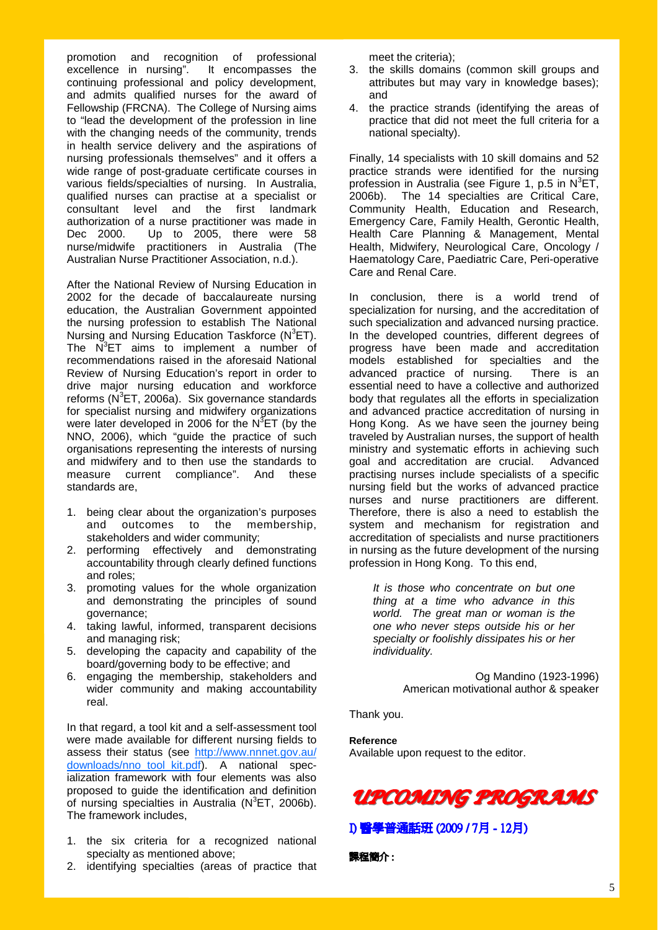promotion and recognition of professional excellence in nursing". It encompasses the excellence in nursing". continuing professional and policy development, and admits qualified nurses for the award of Fellowship (FRCNA). The College of Nursing aims to "lead the development of the profession in line with the changing needs of the community, trends in health service delivery and the aspirations of nursing professionals themselves" and it offers a wide range of post-graduate certificate courses in various fields/specialties of nursing. In Australia, qualified nurses can practise at a specialist or consultant level and the first landmark authorization of a nurse practitioner was made in Dec 2000. Up to 2005, there were 58 nurse/midwife practitioners in Australia (The Australian Nurse Practitioner Association, n.d.).

After the National Review of Nursing Education in 2002 for the decade of baccalaureate nursing education, the Australian Government appointed the nursing profession to establish The National Nursing and Nursing Education Taskforce (N<sup>3</sup>ET). The  $N^3$ ET aims to implement a number of recommendations raised in the aforesaid National Review of Nursing Education's report in order to drive major nursing education and workforce reforms  $(N^3ET, 2006a)$ . Six governance standards for specialist nursing and midwifery organizations were later developed in 2006 for the  $N^3$ ET (by the NNO, 2006), which "guide the practice of such organisations representing the interests of nursing and midwifery and to then use the standards to measure current compliance". And these standards are,

- 1. being clear about the organization's purposes and outcomes to the membership, stakeholders and wider community;
- 2. performing effectively and demonstrating accountability through clearly defined functions and roles;
- 3. promoting values for the whole organization and demonstrating the principles of sound governance;
- 4. taking lawful, informed, transparent decisions and managing risk;
- 5. developing the capacity and capability of the board/governing body to be effective; and
- 6. engaging the membership, stakeholders and wider community and making accountability real.

In that regard, a tool kit and a self-assessment tool were made available for different nursing fields to assess their status (see http://www.nnnet.gov.au/ downloads/nno\_tool\_kit.pdf). A national specialization framework with four elements was also proposed to guide the identification and definition of nursing specialties in Australia ( $N^3$ ET, 2006b). The framework includes,

- 1. the six criteria for a recognized national specialty as mentioned above;
- 2. identifying specialties (areas of practice that

meet the criteria);

- 3. the skills domains (common skill groups and attributes but may vary in knowledge bases); and
- 4. the practice strands (identifying the areas of practice that did not meet the full criteria for a national specialty).

Finally, 14 specialists with 10 skill domains and 52 practice strands were identified for the nursing profession in Australia (see Figure 1, p.5 in  $N^3$ ET, 2006b). The 14 specialties are Critical Care, Community Health, Education and Research, Emergency Care, Family Health, Gerontic Health, Health Care Planning & Management, Mental Health, Midwifery, Neurological Care, Oncology / Haematology Care, Paediatric Care, Peri-operative Care and Renal Care.

In conclusion, there is a world trend of specialization for nursing, and the accreditation of such specialization and advanced nursing practice. In the developed countries, different degrees of progress have been made and accreditation models established for specialties and the advanced practice of nursing. There is an essential need to have a collective and authorized body that regulates all the efforts in specialization and advanced practice accreditation of nursing in Hong Kong. As we have seen the journey being traveled by Australian nurses, the support of health ministry and systematic efforts in achieving such goal and accreditation are crucial. Advanced practising nurses include specialists of a specific nursing field but the works of advanced practice nurses and nurse practitioners are different. Therefore, there is also a need to establish the system and mechanism for registration and accreditation of specialists and nurse practitioners in nursing as the future development of the nursing profession in Hong Kong. To this end,

*It is those who concentrate on but one thing at a time who advance in this world. The great man or woman is the one who never steps outside his or her specialty or foolishly dissipates his or her individuality.*

> Og Mandino (1923-1996) American motivational author & speaker

Thank you.

**Reference**  Available upon request to the editor.



I) 醫學普通話班 (2009 / 7月 - 12月)

課程簡介 :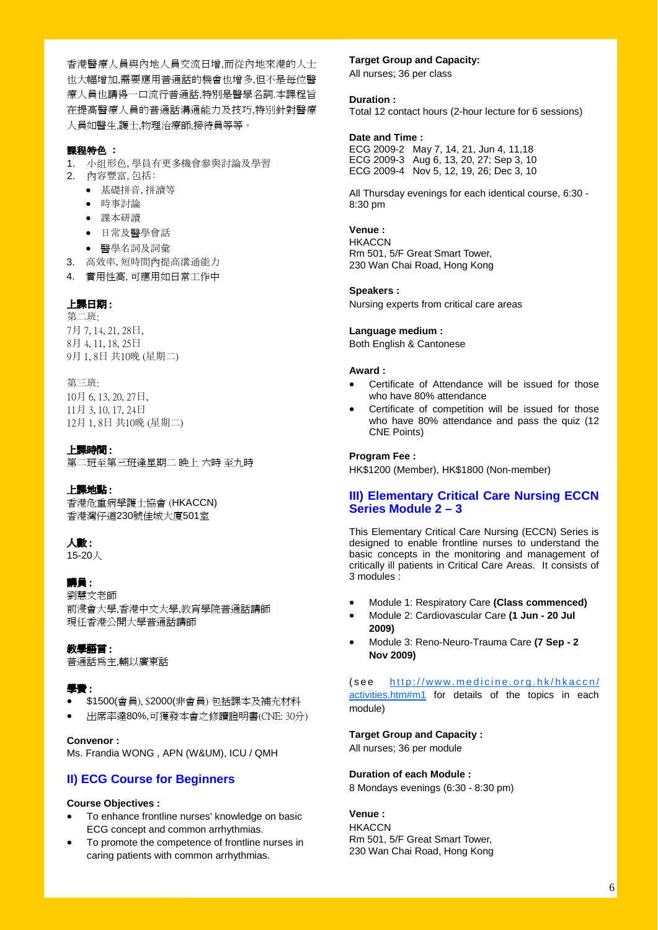香港醫療人員與內地人員交流日增,而從內地來港的人士 也大幅增加,需要應用普通話的機會也增多,但不是每位醫 療人員也講得一口流行普通話,特別是醫學名詞.本課程旨 在提高醫療人員的普通話溝通能力及技巧,特别針對醫療 人員如醫生,護士,物理治療師,接待員等等。

### 課程特色 :

- 1. 小组形色,學員有更多機會參與討論及學習 2. 內容豐富,包括:
	- 基礎拼音,拼讀等
	- 時事討論
	- 課本研讀
	- 日常及醫學會話
	- 醫學名詞及詞彙
- 3. 高效率,短時間內提高溝通能力
- 4. 實用性高, 可應用如日常工作中

### 上課日期 :

第二班: 月 7, 14, 21, 28日, 月 4, 11, 18, 25日 月 1, 8日 共10晚 (星期二)

第三班: 10月 6, 13, 20, 27日, 11月 3, 10, 17, 24日

12月 1, 8日 共10晚 (星期二)

### 上課時間 :

第二班至第三班逢星期二 晚上 六時 至九時

#### 上課地點 :

香港危重病學護士協會 (HKACCN) 香港灣仔道230號佳城大廈501室

### 人數 :

15-20人

### 講員 :

劉慧文老師 前浸會大學,香港中文大學,教肓學院普通話講師 現任香港公開大學普通話講師

### 教學語言 :

普通話為主,輔以廣東話

### 學費 :

- \$1500(會員), \$2000(非會員) 包括課本及補充材料
- 出席率達80%,可獲發本會之修讀證明書(CNE: 30分)

#### **Convenor :**

Ms. Frandia WONG , APN (W&UM), ICU / QMH

### **II) ECG Course for Beginners**

### **Course Objectives :**

- To enhance frontline nurses' knowledge on basic ECG concept and common arrhythmias.
- To promote the competence of frontline nurses in caring patients with common arrhythmias.

### **Target Group and Capacity:**

All nurses; 36 per class

### **Duration :**

Total 12 contact hours (2-hour lecture for 6 sessions)

### **Date and Time :**

ECG 2009-2 May 7, 14, 21, Jun 4, 11,18 ECG 2009-3 Aug 6, 13, 20, 27; Sep 3, 10 ECG 2009-4 Nov 5, 12, 19, 26; Dec 3, 10

All Thursday evenings for each identical course, 6:30 - 8:30 pm

### **Venue :**

**HKACCN** Rm 501, 5/F Great Smart Tower, 230 Wan Chai Road, Hong Kong

#### **Speakers :**

Nursing experts from critical care areas

### **Language medium :**

Both English & Cantonese

### **Award :**

- Certificate of Attendance will be issued for those who have 80% attendance
- Certificate of competition will be issued for those who have 80% attendance and pass the quiz (12 CNE Points)

### **Program Fee :**

HK\$1200 (Member), HK\$1800 (Non-member)

### **III) Elementary Critical Care Nursing ECCN Series Module 2 – 3**

This Elementary Critical Care Nursing (ECCN) Series is designed to enable frontline nurses to understand the basic concepts in the monitoring and management of critically ill patients in Critical Care Areas. It consists of 3 modules :

- Module 1: Respiratory Care **(Class commenced)**
- Module 2: Cardiovascular Care **(1 Jun 20 Jul 2009)**
- Module 3: Reno-Neuro-Trauma Care **(7 Sep 2 Nov 2009)**

(see http://www.medicine.org.hk/hkaccn/ activities.htm#m1 for details of the topics in each module)

#### **Target Group and Capacity :**

All nurses; 36 per module

#### **Duration of each Module :**

8 Mondays evenings (6:30 - 8:30 pm)

### **Venue :**

**HKACCN** Rm 501, 5/F Great Smart Tower, 230 Wan Chai Road, Hong Kong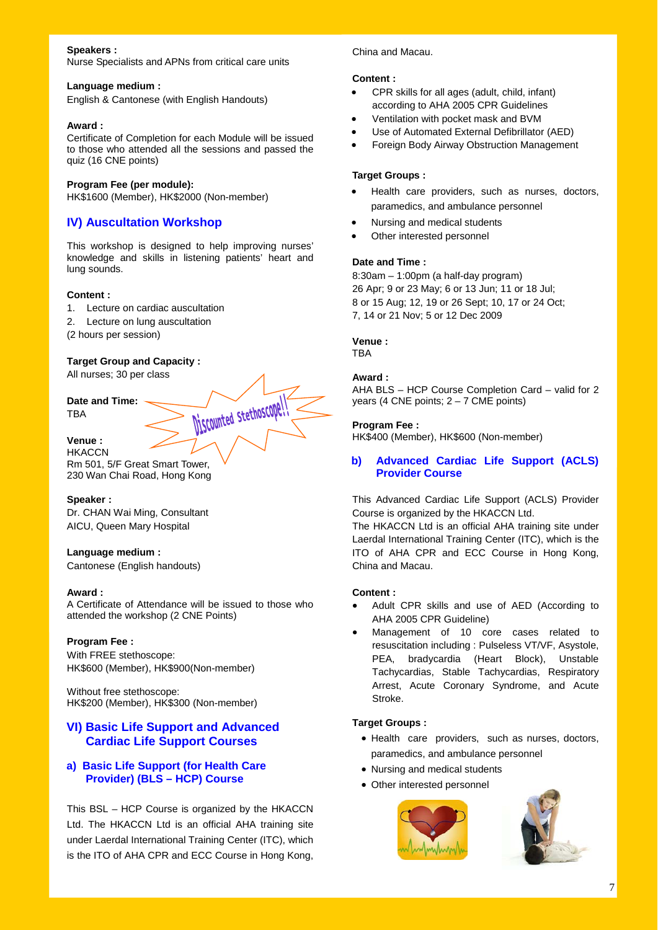### **Speakers :**

Nurse Specialists and APNs from critical care units

#### **Language medium :**

English & Cantonese (with English Handouts)

### **Award :**

Certificate of Completion for each Module will be issued to those who attended all the sessions and passed the quiz (16 CNE points)

### **Program Fee (per module):**

HK\$1600 (Member), HK\$2000 (Non-member)

### **IV) Auscultation Workshop**

This workshop is designed to help improving nurses' knowledge and skills in listening patients' heart and lung sounds.

### **Content :**

- 1. Lecture on cardiac auscultation
- 2. Lecture on lung auscultation

(2 hours per session)

### **Target Group and Capacity :**

All nurses; 30 per class



**HKACCN** Rm 501, 5/F Great Smart Tower, 230 Wan Chai Road, Hong Kong

### **Speaker :**

Dr. CHAN Wai Ming, Consultant AICU, Queen Mary Hospital

### **Language medium :**

Cantonese (English handouts)

### **Award :**

A Certificate of Attendance will be issued to those who attended the workshop (2 CNE Points)

### **Program Fee :**

With FREE stethoscope: HK\$600 (Member), HK\$900(Non-member)

Without free stethoscope: HK\$200 (Member), HK\$300 (Non-member)

### **VI) Basic Life Support and Advanced Cardiac Life Support Courses**

### **a) Basic Life Support (for Health Care Provider) (BLS – HCP) Course**

This BSL – HCP Course is organized by the HKACCN Ltd. The HKACCN Ltd is an official AHA training site under Laerdal International Training Center (ITC), which is the ITO of AHA CPR and ECC Course in Hong Kong,

### China and Macau.

### **Content :**

- CPR skills for all ages (adult, child, infant) according to AHA 2005 CPR Guidelines
- Ventilation with pocket mask and BVM
- Use of Automated External Defibrillator (AED)
- Foreign Body Airway Obstruction Management

### **Target Groups :**

- Health care providers, such as nurses, doctors, paramedics, and ambulance personnel
- Nursing and medical students
- Other interested personnel

### **Date and Time :**

8:30am – 1:00pm (a half-day program) 26 Apr; 9 or 23 May; 6 or 13 Jun; 11 or 18 Jul; 8 or 15 Aug; 12, 19 or 26 Sept; 10, 17 or 24 Oct; 7, 14 or 21 Nov; 5 or 12 Dec 2009

### **Venue :**

**TBA** 

### **Award :**

AHA BLS – HCP Course Completion Card – valid for 2 years (4 CNE points;  $2 - 7$  CME points)

### **Program Fee :**

HK\$400 (Member), HK\$600 (Non-member)

### **b) Advanced Cardiac Life Support (ACLS) Provider Course**

This Advanced Cardiac Life Support (ACLS) Provider Course is organized by the HKACCN Ltd.

The HKACCN Ltd is an official AHA training site under Laerdal International Training Center (ITC), which is the ITO of AHA CPR and ECC Course in Hong Kong, China and Macau.

#### **Content :**

- Adult CPR skills and use of AED (According to AHA 2005 CPR Guideline)
- Management of 10 core cases related to resuscitation including : Pulseless VT/VF, Asystole, PEA, bradycardia (Heart Block), Unstable Tachycardias, Stable Tachycardias, Respiratory Arrest, Acute Coronary Syndrome, and Acute Stroke.

### **Target Groups :**

- Health care providers, such as nurses, doctors, paramedics, and ambulance personnel
- Nursing and medical students
- Other interested personnel